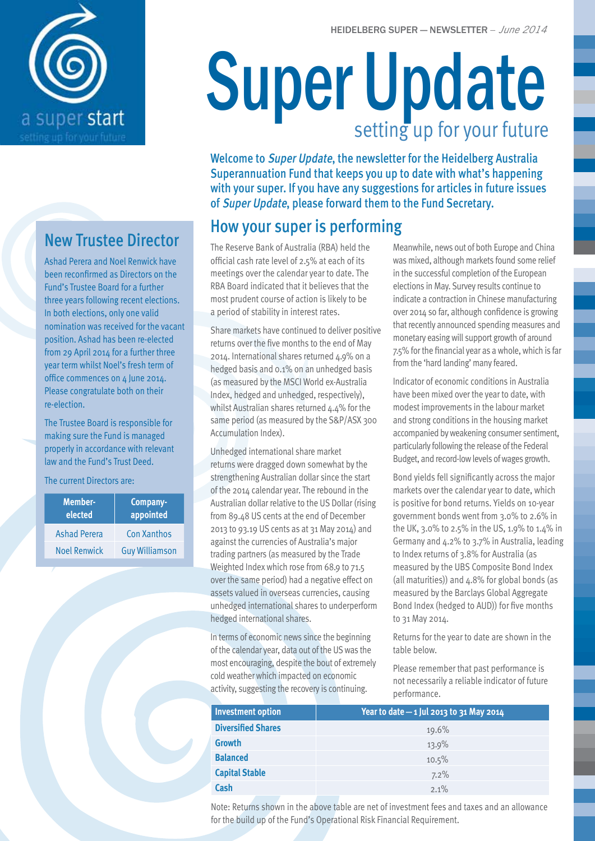

# New Trustee Director

Ashad Perera and Noel Renwick have been reconfirmed as Directors on the Fund's Trustee Board for a further three years following recent elections. In both elections, only one valid nomination was received for the vacant position. Ashad has been re-elected from 29 April 2014 for a further three year term whilst Noel's fresh term of office commences on 4 June 2014. Please congratulate both on their re-election.

The Trustee Board is responsible for making sure the Fund is managed properly in accordance with relevant law and the Fund's Trust Deed.

The current Directors are:

| <b>Member-</b><br>elected | Company-<br>appointed |
|---------------------------|-----------------------|
| <b>Ashad Perera</b>       | Con Xanthos           |
| <b>Noel Renwick</b>       | <b>Guy Williamson</b> |

# Super Update setting up for your future

Welcome to Super Update, the newsletter for the Heidelberg Australia Superannuation Fund that keeps you up to date with what's happening with your super. If you have any suggestions for articles in future issues of Super Update, please forward them to the Fund Secretary.

# How your super is performing

The Reserve Bank of Australia (RBA) held the official cash rate level of 2.5% at each of its meetings over the calendar year to date. The RBA Board indicated that it believes that the most prudent course of action is likely to be a period of stability in interest rates.

Share markets have continued to deliver positive returns over the five months to the end of May 2014. International shares returned 4.9% on a hedged basis and 0.1% on an unhedged basis (as measured by the MSCI World ex-Australia Index, hedged and unhedged, respectively), whilst Australian shares returned 4.4% for the same period (as measured by the S&P/ASX 300 Accumulation Index).

Unhedged international share market returns were dragged down somewhat by the strengthening Australian dollar since the start of the 2014 calendar year. The rebound in the Australian dollar relative to the US Dollar (rising from 89.48 US cents at the end of December 2013 to 93.19 US cents as at 31 May 2014) and against the currencies of Australia's major trading partners (as measured by the Trade Weighted Index which rose from 68.9 to 71.5 over the same period) had a negative effect on assets valued in overseas currencies, causing unhedged international shares to underperform hedged international shares.

In terms of economic news since the beginning of the calendar year, data out of the US was the most encouraging, despite the bout of extremely cold weather which impacted on economic activity, suggesting the recovery is continuing.

Meanwhile, news out of both Europe and China was mixed, although markets found some relief in the successful completion of the European elections in May. Survey results continue to indicate a contraction in Chinese manufacturing over 2014 so far, although confidence is growing that recently announced spending measures and monetary easing will support growth of around 7.5% for the financial year as a whole, which is far from the 'hard landing' many feared.

Indicator of economic conditions in Australia have been mixed over the year to date, with modest improvements in the labour market and strong conditions in the housing market accompanied by weakening consumer sentiment, particularly following the release of the Federal Budget, and record-low levels of wages growth.

Bond yields fell significantly across the major markets over the calendar year to date, which is positive for bond returns. Yields on 10-year government bonds went from 3.0% to 2.6% in the UK, 3.0% to 2.5% in the US, 1.9% to 1.4% in Germany and 4.2% to 3.7% in Australia, leading to Index returns of 3.8% for Australia (as measured by the UBS Composite Bond Index (all maturities)) and  $4.8\%$  for global bonds (as measured by the Barclays Global Aggregate Bond Index (hedged to AUD)) for five months to 31 May 2014.

Returns for the year to date are shown in the table below.

Please remember that past performance is not necessarily a reliable indicator of future performance.

| <b>Investment option</b>  | Year to date $-$ 1 Jul 2013 to 31 May 2014 |
|---------------------------|--------------------------------------------|
| <b>Diversified Shares</b> | 19.6%                                      |
| <b>Growth</b>             | 13.9%                                      |
| <b>Balanced</b>           | 10.5%                                      |
| <b>Capital Stable</b>     | 7.2%                                       |
| Cash                      | $2.1\%$                                    |

Note: Returns shown in the above table are net of investment fees and taxes and an allowance for the build up of the Fund's Operational Risk Financial Requirement.